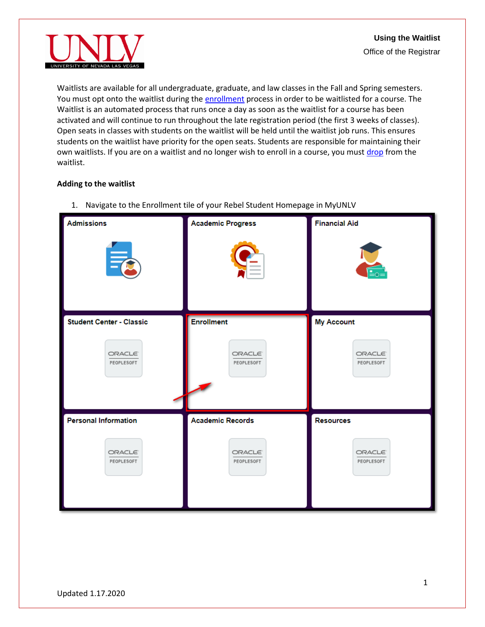

Waitlists are available for all undergraduate, graduate, and law classes in the Fall and Spring semesters. You must opt onto the waitlist during the [enrollment](#page-0-0) process in order to be waitlisted for a course. The Waitlist is an automated process that runs once a day as soon as the waitlist for a course has been activated and will continue to run throughout the late registration period (the first 3 weeks of classes). Open seats in classes with students on the waitlist will be held until the waitlist job runs. This ensures students on the waitlist have priority for the open seats. Students are responsible for maintaining their own waitlists. If you are on a waitlist and no longer wish to enroll in a course, you must [drop](#page-9-0) from the waitlist.

## <span id="page-0-0"></span>**Adding to the waitlist**

- **Financial Aid Admissions Academic Progress Student Center - Classic Enrollment My Account ORACLE ORACLE ORACLE** PEOPLESOFT PEOPLESOFT PEOPLESOFT **Personal Information Academic Records Resources ORACLE** ORACLE ORACLE PEOPLESOFT PEOPLESOFT PEOPLESOFT
- 1. Navigate to the Enrollment tile of your Rebel Student Homepage in MyUNLV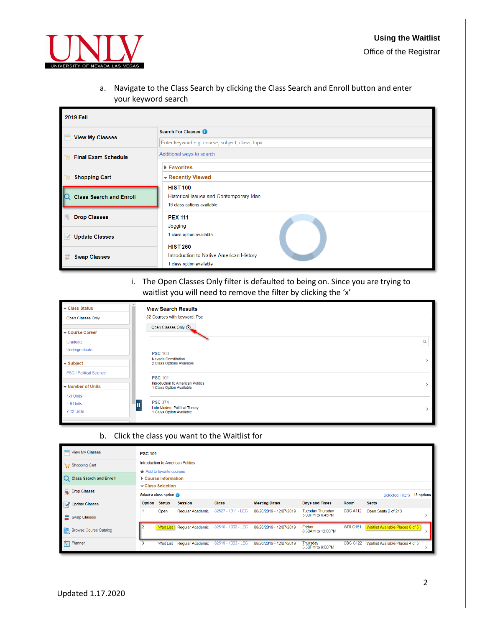

a. Navigate to the Class Search by clicking the Class Search and Enroll button and enter your keyword search

| <b>2019 Fall</b>               |                                                                                         |
|--------------------------------|-----------------------------------------------------------------------------------------|
| <b>View My Classes</b>         | Search For Classes                                                                      |
|                                | Enter keyword e.g. course, subject, class, topic                                        |
| <b>Final Exam Schedule</b>     | Additional ways to search                                                               |
|                                | $\blacktriangleright$ Favorites                                                         |
| <b>Shopping Cart</b>           | - Recently Viewed                                                                       |
| <b>Class Search and Enroll</b> | <b>HIST 100</b><br>Historical Issues and Contemporary Man<br>16 class options available |
| <b>Drop Classes</b><br>ᆍ       | <b>PEX 111</b><br>Jogging                                                               |
| <b>Update Classes</b><br>K     | 1 class option available                                                                |
| <b>Swap Classes</b>            | <b>HIST 260</b><br>Introduction to Native American History<br>1 class option available  |

i. The Open Classes Only filter is defaulted to being on. Since you are trying to waitlist you will need to remove the filter by clicking the 'x'

| $\overline{\phantom{a}}$ Class Status | <b>View Search Results</b>                                           |
|---------------------------------------|----------------------------------------------------------------------|
| Open Classes Only                     | 32 Courses with keyword: Psc                                         |
| Course Career                         | Open Classes Only (x)                                                |
| Graduate                              | 化                                                                    |
| Undergraduate                         | <b>PSC 100</b>                                                       |
| $\blacktriangleright$ Subject         | Nevada Constitution<br>2 Class Options Available                     |
| <b>PSC / Political Science</b>        | <b>PSC 101</b>                                                       |
| $\blacktriangleright$ Number of Units | <b>Introduction to American Politics</b><br>1 Class Option Available |
| 1-3 Units                             |                                                                      |
| 4-6 Units                             | <b>PSC 374</b><br>ш<br>Late Modern Political Theory                  |
| 7-12 Units                            | 1 Class Option Available                                             |

b. Click the class you want to the Waitlist for

| View My Classes                    | <b>PSC 101</b> |                                                |                                   |                    |                         |                                             |                 |                                  |            |
|------------------------------------|----------------|------------------------------------------------|-----------------------------------|--------------------|-------------------------|---------------------------------------------|-----------------|----------------------------------|------------|
| Shopping Cart                      |                | Add to favorite courses                        | Introduction to American Politics |                    |                         |                                             |                 |                                  |            |
| <b>Class Search and Enroll</b>     |                | ▶ Course Information<br>$\div$ Class Selection |                                   |                    |                         |                                             |                 |                                  |            |
| <b>同</b> Drop Classes              |                | Select a class option                          |                                   |                    |                         |                                             |                 | <b>Selected Filters</b>          | 15 options |
| Update Classes                     | Option         | <b>Status</b>                                  | <b>Session</b>                    | <b>Class</b>       | <b>Meeting Dates</b>    | <b>Days and Times</b>                       | Room            | <b>Seats</b>                     |            |
| Swap Classes                       |                | Open                                           | Regular Academic                  | 82527 - 1011 - LEC | 08/26/2019 - 12/07/2019 | <b>Tuesday Thursday</b><br>5:00PM to 6:45PM | <b>CBC A112</b> | Open Seats 2 of 213              |            |
| 「鼠<br><b>Browse Course Catalog</b> |                | <b>Wait List</b>                               | Regular Academic                  | 82518 - 1002 - LEC | 08/26/2019 - 12/07/2019 | Friday<br>8:30AM to 12:00PM                 | <b>WRI C151</b> | Waitlist Available Places 5 of 5 |            |
| Planner                            | 3              | <b>Wait List</b>                               | <b>Regular Academic</b>           | 82519 - 1003 - LEC | 08/26/2019 - 12/07/2019 | Thursday<br>5:30PM to 9:00PM                | <b>CBC C122</b> | Waitlist Available Places 4 of 5 |            |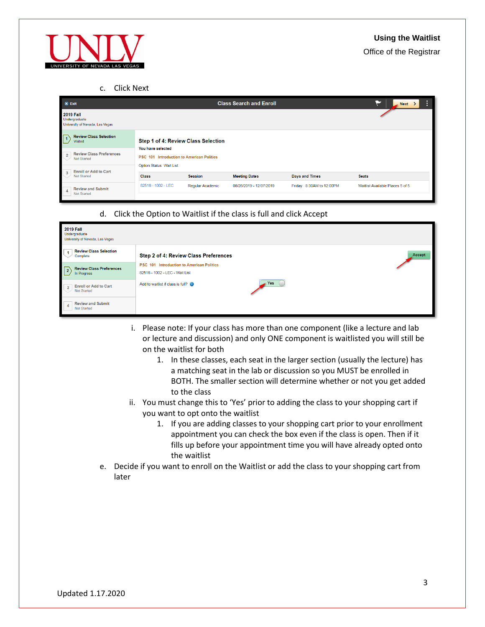

c. Click Next

| $\mathsf{X}$ Exit                                                       |                                                                                                         |                         | <b>Class Search and Enroll</b> |                          | $\leq$ Next $\geq$               |
|-------------------------------------------------------------------------|---------------------------------------------------------------------------------------------------------|-------------------------|--------------------------------|--------------------------|----------------------------------|
| <b>2019 Fall</b><br>Undergraduate<br>University of Nevada, Las Vegas    |                                                                                                         |                         |                                |                          |                                  |
| <b>Review Class Selection</b><br>$\sqrt{1}$<br><b>Visited</b>           | Step 1 of 4: Review Class Selection                                                                     |                         |                                |                          |                                  |
| <b>Review Class Preferences</b><br>$\overline{2}$<br><b>Not Started</b> | You have selected<br><b>PSC 101 Introduction to American Politics</b><br><b>Option Status Wait List</b> |                         |                                |                          |                                  |
| <b>Enroll or Add to Cart</b><br>3<br><b>Not Started</b>                 | <b>Class</b>                                                                                            | <b>Session</b>          | <b>Meeting Dates</b>           | Days and Times           | <b>Seats</b>                     |
| <b>Review and Submit</b><br>$\Delta$<br><b>Not Started</b>              | 82518 - 1002 - LEC                                                                                      | <b>Regular Academic</b> | 08/26/2019 - 12/07/2019        | Friday 8:30AM to 12:00PM | Waitlist Available Places 5 of 5 |

d. Click the Option to Waitlist if the class is full and click Accept

| <b>2019 Fall</b><br>Undergraduate<br>University of Nevada, Las Vegas |                                                                                    |
|----------------------------------------------------------------------|------------------------------------------------------------------------------------|
| <b>Review Class Selection</b><br>Complete                            | Accept<br>Step 2 of 4: Review Class Preferences                                    |
| <b>Review Class Preferences</b><br>$\sqrt{2}$<br>In Progress         | <b>PSC 101 Introduction to American Politics</b><br>82518 - 1002 - LEC - Wait List |
| <b>Enroll or Add to Cart</b><br>$\mathbf{3}$<br><b>Not Started</b>   | Yes<br>Add to waitlist if class is full?                                           |
| <b>Review and Submit</b><br>$\overline{4}$<br><b>Not Started</b>     |                                                                                    |

- i. Please note: If your class has more than one component (like a lecture and lab or lecture and discussion) and only ONE component is waitlisted you will still be on the waitlist for both
	- 1. In these classes, each seat in the larger section (usually the lecture) has a matching seat in the lab or discussion so you MUST be enrolled in BOTH. The smaller section will determine whether or not you get added to the class
- ii. You must change this to 'Yes' prior to adding the class to your shopping cart if you want to opt onto the waitlist
	- 1. If you are adding classes to your shopping cart prior to your enrollment appointment you can check the box even if the class is open. Then if it fills up before your appointment time you will have already opted onto the waitlist
- <span id="page-2-0"></span>e. Decide if you want to enroll on the Waitlist or add the class to your shopping cart from later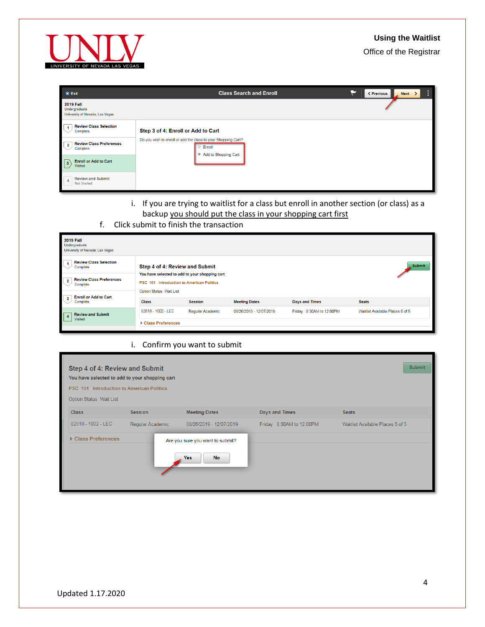# **Using the Waitlist**



| $x$ Exit                                                             | <b>Class Search and Enroll</b>                                          | <b>≮ Previous</b><br>Next > |
|----------------------------------------------------------------------|-------------------------------------------------------------------------|-----------------------------|
| <b>2019 Fall</b><br>Undergraduate<br>University of Nevada, Las Vegas |                                                                         |                             |
| <b>Review Class Selection</b><br>Complete                            | Step 3 of 4: Enroll or Add to Cart                                      |                             |
| <b>Review Class Preferences</b><br>$\overline{2}$<br>Complete        | Do you wish to enroll or add the class to your Shopping Cart?<br>Enroll |                             |
| $\sqrt{3}$<br><b>Enroll or Add to Cart</b><br>Visited                | Add to Shopping Cart                                                    |                             |
| <b>Review and Submit</b><br><b>Not Started</b>                       |                                                                         |                             |

- i. If you are trying to waitlist for a class but enroll in another section (or class) as a backup you should put the class in your shopping cart first
- f. Click submit to finish the transaction

| <b>2019 Fall</b><br>Undergraduate<br>University of Nevada, Las Vegas |                                                                                                                        |                  |                         |                          |                                  |
|----------------------------------------------------------------------|------------------------------------------------------------------------------------------------------------------------|------------------|-------------------------|--------------------------|----------------------------------|
| <b>Review Class Selection</b><br>Complete                            | Step 4 of 4: Review and Submit                                                                                         |                  |                         |                          | Submit                           |
| <b>Review Class Preferences</b><br>Complete                          | You have selected to add to your shopping cart<br>PSC 101 Introduction to American Politics<br>Option Status Wait List |                  |                         |                          |                                  |
| <b>Enroll or Add to Cart</b><br>Complete                             | <b>Class</b>                                                                                                           | <b>Session</b>   | <b>Meeting Dates</b>    | <b>Days and Times</b>    | <b>Seats</b>                     |
| <b>Review and Submit</b><br>$\sqrt{4}$                               | 82518 - 1002 - LEC                                                                                                     | Regular Academic | 08/26/2019 - 12/07/2019 | Friday 8:30AM to 12:00PM | Waitlist Available Places 5 of 5 |
| Visited                                                              | ▶ Class Preferences                                                                                                    |                  |                         |                          |                                  |

### i. Confirm you want to submit

| Option Status Wait List<br><b>Meeting Dates</b><br><b>Class</b><br>Days and Times<br><b>Seats</b><br><b>Session</b><br>82518 - 1002 - LEC<br>Friday 8:30AM to 12:00PM<br>Regular Academic<br>08/26/2019 - 12/07/2019<br>Waitlist Available Places 5 of 5<br>Class Preferences<br>Are you sure you want to submit? |  |
|-------------------------------------------------------------------------------------------------------------------------------------------------------------------------------------------------------------------------------------------------------------------------------------------------------------------|--|
|                                                                                                                                                                                                                                                                                                                   |  |
|                                                                                                                                                                                                                                                                                                                   |  |
| Yes<br><b>No</b>                                                                                                                                                                                                                                                                                                  |  |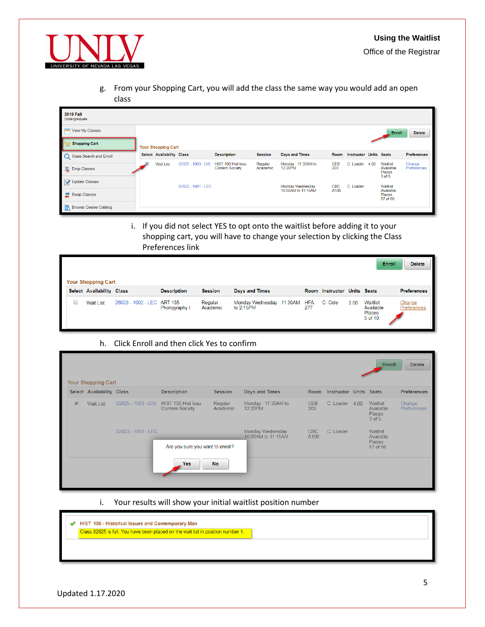

g. From your Shopping Cart, you will add the class the same way you would add an open class

| <b>2019 Fall</b><br>Undergraduate |                           |                    |                                             |                     |                                        |                    |                               |      |                                             |                       |
|-----------------------------------|---------------------------|--------------------|---------------------------------------------|---------------------|----------------------------------------|--------------------|-------------------------------|------|---------------------------------------------|-----------------------|
| View My Classes                   |                           |                    |                                             |                     |                                        |                    |                               |      | Enroll                                      | <b>Delete</b>         |
| Shopping Cart                     | <b>Your Shopping Cart</b> |                    |                                             |                     |                                        |                    |                               |      |                                             |                       |
| C Class Search and Enroll         | Select Availability Class |                    | <b>Description</b>                          | <b>Session</b>      | <b>Days and Times</b>                  | Room               | <b>Instructor Units Seats</b> |      |                                             | <b>Preferences</b>    |
| – Drop Classes                    | <b>Wait List</b>          | 82825 - 1003 - DIS | HIST 100 Hist Issu<br><b>Contem Society</b> | Regular<br>Academic | Monday 11:30AM to<br>12:20PM           | <b>CEB</b><br>203  | C. Loader                     | 4.00 | Waitlist<br>Available<br>Places<br>3 of 5   | Change<br>Preferences |
| Update Classes                    |                           |                    |                                             |                     |                                        |                    |                               |      |                                             |                       |
| Swap Classes                      |                           | 82823 - 1001 - LEC |                                             |                     | Monday Wednesday<br>10:00AM to 11:15AM | <b>CBC</b><br>A106 | C. Loader                     |      | Waitlist<br>Available<br>Places<br>57 of 66 |                       |
| <b>Browse Course Catalog</b>      |                           |                    |                                             |                     |                                        |                    |                               |      |                                             |                       |

i. If you did not select YES to opt onto the waitlist before adding it to your shopping cart, you will have to change your selection by clicking the Class Preferences link

| <b>Your Shopping Cart</b> |                            |                    |                     |                                          |                   |                             |      | Enroll                                            | <b>Delete</b>         |
|---------------------------|----------------------------|--------------------|---------------------|------------------------------------------|-------------------|-----------------------------|------|---------------------------------------------------|-----------------------|
| Select Availability Class |                            | <b>Description</b> | <b>Session</b>      | Days and Times                           |                   | Room Instructor Units Seats |      |                                                   | <b>Preferences</b>    |
| <b>Wait List</b>          | 26028 - 1002 - LEC ART 135 | Photography I      | Regular<br>Academic | Monday Wednesday 11:30AM<br>to $2.15$ PM | <b>HFA</b><br>277 | C. Cole                     | 3.00 | Waitlist<br>Available<br><b>Places</b><br>5 of 10 | Change<br>Preferences |

### h. Click Enroll and then click Yes to confirm

|                       | Select Availability Class |                    | <b>Description</b>                   | <b>Session</b>      | Days and Times                         | Room              | <b>Instructor Units Seats</b> |                                                      | <b>Preferences</b>    |
|-----------------------|---------------------------|--------------------|--------------------------------------|---------------------|----------------------------------------|-------------------|-------------------------------|------------------------------------------------------|-----------------------|
| $\boxed{\mathcal{G}}$ | <b>Wait List</b>          | 82825 - 1003 - DIS | HIST 100 Hist Issu<br>Contem Society | Regular<br>Academic | Monday 11:30AM to<br>12:20PM           | <b>CEB</b><br>203 | C. Loader 4.00                | Waitlist<br>Available<br><b>Places</b><br>$3$ of $5$ | Change<br>Preferences |
|                       |                           | 82823 - 1001 - LEC |                                      |                     | Monday Wednesday<br>10:00AM to 11:15AM | CBC<br>A106       | C. Loader                     | <b>Waitlist</b><br>Available<br><b>Places</b>        |                       |
|                       |                           |                    | Are you sure you want to enroll?     |                     |                                        |                   |                               | 57 of 66                                             |                       |

i. Your results will show your initial waitlist position number

| $\mathscr{A}$ | HIST 100 - Historical Issues and Contemporary Man<br>Class 82825 is full. You have been placed on the wait list in position number 1. |  |  |  |  |  |  |  |  |  |  |  |  |  |  |  |  |  |  |
|---------------|---------------------------------------------------------------------------------------------------------------------------------------|--|--|--|--|--|--|--|--|--|--|--|--|--|--|--|--|--|--|
|               |                                                                                                                                       |  |  |  |  |  |  |  |  |  |  |  |  |  |  |  |  |  |  |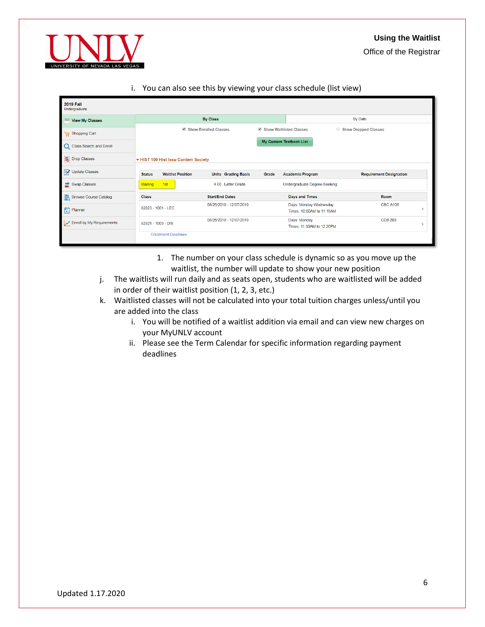

i. You can also see this by viewing your class schedule (list view)

| <b>2019 Fall</b><br>Undergraduate   |                       |                             |                                   |                            |                                                                  |                                                     |                                |               |  |
|-------------------------------------|-----------------------|-----------------------------|-----------------------------------|----------------------------|------------------------------------------------------------------|-----------------------------------------------------|--------------------------------|---------------|--|
| View My Classes                     |                       |                             |                                   | <b>By Class</b>            |                                                                  | By Date                                             |                                |               |  |
| Shopping Cart                       | Show Enrolled Classes |                             |                                   |                            | Show Waitlisted Classes<br><b>Show Dropped Classes</b><br>$\Box$ |                                                     |                                |               |  |
| <b>Class Search and Enroll</b><br>Q |                       |                             |                                   |                            |                                                                  | My Custom Textbook List                             |                                |               |  |
| ß.<br><b>Drop Classes</b>           |                       |                             | HIST 100 Hist Issu Contem Society |                            |                                                                  |                                                     |                                |               |  |
| Update Classes                      | <b>Status</b>         |                             | <b>Waitlist Position</b>          | <b>Units</b> Grading Basis | Grade                                                            | <b>Academic Program</b>                             | <b>Requirement Designation</b> |               |  |
| Swap Classes                        | Waiting               | 1st                         |                                   | 4.00 Letter Grade          |                                                                  | Undergraduate Degree-Seeking                        |                                |               |  |
| <b>Browse Course Catalog</b>        | <b>Class</b>          |                             |                                   | <b>Start/End Dates</b>     |                                                                  | Days and Times                                      | Room                           |               |  |
| Planner                             | 82823 - 1001 - I FC   |                             |                                   | 08/26/2019 - 12/07/2019    |                                                                  | Days: Monday Wednesday<br>Times: 10:00AM to 11:15AM | <b>CBC A106</b>                | $\mathcal{E}$ |  |
| Enroll by My Requirements           | 82825 - 1003 - DIS    |                             |                                   | 08/26/2019 - 12/07/2019    |                                                                  | Days: Monday<br>Times: 11:30AM to 12:20PM           | <b>CEB 203</b>                 |               |  |
|                                     |                       | <b>Enrollment Deadlines</b> |                                   |                            |                                                                  |                                                     |                                |               |  |

- 1. The number on your class schedule is dynamic so as you move up the waitlist, the number will update to show your new position
- j. The waitlists will run daily and as seats open, students who are waitlisted will be added in order of their waitlist position (1, 2, 3, etc.)
- k. Waitlisted classes will not be calculated into your total tuition charges unless/until you are added into the class
	- i. You will be notified of a waitlist addition via email and can view new charges on your MyUNLV account
	- ii. Please see the Term Calendar for specific information regarding payment deadlines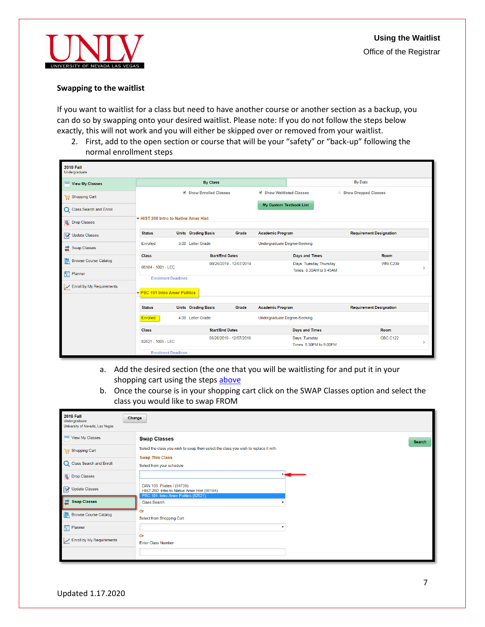

#### **Swapping to the waitlist**

If you want to waitlist for a class but need to have another course or another section as a backup, you can do so by swapping onto your desired waitlist. Please note: If you do not follow the steps below exactly, this will not work and you will either be skipped over or removed from your waitlist.

2. First, add to the open section or course that will be your "safety" or "back-up" following the normal enrollment steps

| <b>2019 Fall</b><br>Undergraduate   |                                                              |                            |                         |                                |                                          |                                |                                  |
|-------------------------------------|--------------------------------------------------------------|----------------------------|-------------------------|--------------------------------|------------------------------------------|--------------------------------|----------------------------------|
| View My Classes                     |                                                              |                            | <b>By Class</b>         |                                |                                          | By Date                        |                                  |
| Shopping Cart                       |                                                              | Show Enrolled Classes      |                         | Show Waitlisted Classes        |                                          | Show Dropped Classes           |                                  |
| <b>Class Search and Enroll</b><br>Q |                                                              |                            |                         | <b>My Custom Textbook List</b> |                                          |                                |                                  |
| 号 Drop Classes                      | HIST 260 Intro to Native Amer Hist                           |                            |                         |                                |                                          |                                |                                  |
| Update Classes                      | <b>Status</b>                                                | <b>Units</b> Grading Basis | Grade                   | <b>Academic Program</b>        |                                          | <b>Requirement Designation</b> |                                  |
| <b>Swap Classes</b><br>z            | Enrolled                                                     | 3.00 Letter Grade          |                         | Undergraduate Degree-Seeking   |                                          |                                |                                  |
| <b>Browse Course Catalog</b>        | <b>Class</b>                                                 |                            | <b>Start/End Dates</b>  |                                | <b>Days and Times</b>                    |                                | Room                             |
| 倱                                   | 86184 - 1001 - LEC                                           |                            | 08/26/2019 - 12/07/2019 |                                | Days: Tuesday Thursday                   |                                | <b>WRI C239</b><br>$\rightarrow$ |
| 筒<br>Planner                        |                                                              |                            |                         |                                | Times: 8:30AM to 9:45AM                  |                                |                                  |
| Enroll by My Requirements           | <b>Enrollment Deadlines</b><br>▼ PSC 101 Intro Amer Politics |                            |                         |                                |                                          |                                |                                  |
|                                     | <b>Status</b>                                                | <b>Units</b> Grading Basis | Grade                   | <b>Academic Program</b>        |                                          | <b>Requirement Designation</b> |                                  |
|                                     | Enrolled                                                     | 4.00 Letter Grade          |                         | Undergraduate Degree-Seeking   |                                          |                                |                                  |
|                                     | <b>Class</b>                                                 |                            | <b>Start/End Dates</b>  |                                | <b>Days and Times</b>                    |                                | Room                             |
|                                     | 82521 - 1005 - LEC                                           |                            | 08/26/2019 - 12/07/2019 |                                | Days: Tuesday<br>Times: 5:30PM to 9:00PM |                                | <b>CBC C122</b><br>$\rightarrow$ |
|                                     | <b>Enrollment Deadlines</b>                                  |                            |                         |                                |                                          |                                |                                  |

- a. Add the desired section (the one that you will be waitlisting for and put it in your shopping cart using the steps [above](#page-2-0)
- b. Once the course is in your shopping cart click on the SWAP Classes option and select the class you would like to swap FROM

| <b>2019 Fall</b><br>Undergraduate<br>University of Nevada, Las Vegas | Change                                                                                                            |
|----------------------------------------------------------------------|-------------------------------------------------------------------------------------------------------------------|
| View My Classes                                                      | <b>Swap Classes</b><br>Search                                                                                     |
| Shopping Cart                                                        | Select the class you wish to swap then select the class you wish to replace it with.                              |
| C Class Search and Enroll                                            | <b>Swap This Class</b><br>Select from your schedule                                                               |
| 号 Drop Classes                                                       |                                                                                                                   |
| Update Classes                                                       | DAN 108: Pilates I (84739)<br>HIST 260: Intro to Native Amer Hist (86184)<br>PSC 101: Intro Amer Politics (82521) |
| Swap Classes                                                         | <b>Class Search</b>                                                                                               |
| <b>Browse Course Catalog</b>                                         | Or<br>Select from Shopping Cart                                                                                   |
| <b>E</b> Planner                                                     |                                                                                                                   |
| Enroll by My Requirements                                            | Or<br><b>Enter Class Number</b>                                                                                   |
|                                                                      |                                                                                                                   |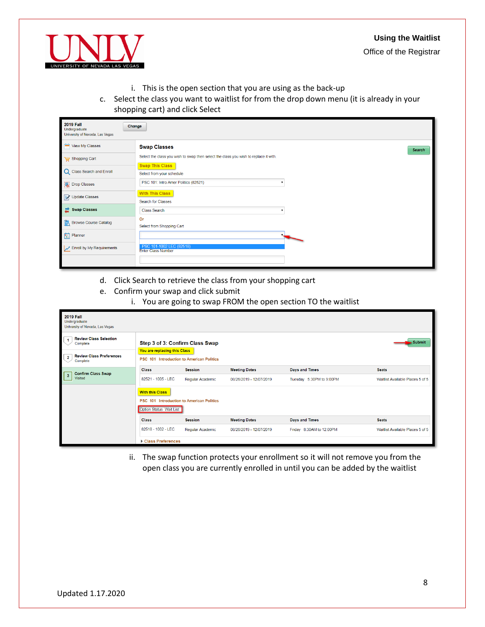#### **Using the Waitlist**



Office of the Registrar

- i. This is the open section that you are using as the back-up
- c. Select the class you want to waitlist for from the drop down menu (it is already in your shopping cart) and click Select

| <b>2019 Fall</b><br>Change<br>Undergraduate<br>University of Nevada, Las Vegas |                                                                                      |
|--------------------------------------------------------------------------------|--------------------------------------------------------------------------------------|
| View My Classes                                                                | <b>Swap Classes</b><br>Search                                                        |
| Shopping Cart                                                                  | Select the class you wish to swap then select the class you wish to replace it with. |
| C Class Search and Enroll                                                      | <b>Swap This Class</b><br>Select from your schedule                                  |
| 号 Drop Classes                                                                 | PSC 101: Intro Amer Politics (82521)                                                 |
| Update Classes                                                                 | <b>With This Class</b><br>Search for Classes                                         |
| Swap Classes                                                                   | <b>Class Search</b>                                                                  |
| <b>Browse Course Catalog</b>                                                   | Or<br>Select from Shopping Cart                                                      |
| <b>Fig.</b> Planner                                                            |                                                                                      |
| Enroll by My Requirements                                                      | PSC 101-1002 LEC (82518)<br><b>Enter Class Number</b>                                |
|                                                                                |                                                                                      |

- d. Click Search to retrieve the class from your shopping cart
- e. Confirm your swap and click submit
	- i. You are going to swap FROM the open section TO the waitlist

| <b>2019 Fall</b><br>Undergraduate<br>University of Nevada, Las Vegas                                                |                                                                                                              |                  |                         |                          |                                  |
|---------------------------------------------------------------------------------------------------------------------|--------------------------------------------------------------------------------------------------------------|------------------|-------------------------|--------------------------|----------------------------------|
| <b>Review Class Selection</b><br>Complete<br><b>Review Class Preferences</b><br>$\overline{\mathbf{2}}$<br>Complete | Step 3 of 3: Confirm Class Swap<br>You are replacing this Class<br>PSC 101 Introduction to American Politics |                  |                         |                          | $\blacktriangleright$ Submit     |
| <b>Confirm Class Swap</b>                                                                                           | <b>Class</b>                                                                                                 | <b>Session</b>   | <b>Meeting Dates</b>    | Days and Times           | <b>Seats</b>                     |
| $\overline{\mathbf{3}}$<br><b>Visited</b>                                                                           | 82521 - 1005 - LEC                                                                                           | Regular Academic | 08/26/2019 - 12/07/2019 | Tuesday 5:30PM to 9:00PM | Waitlist Available Places 5 of 5 |
|                                                                                                                     | <b>With this Class</b><br>PSC 101 Introduction to American Politics<br>Option Status Wait List               |                  |                         |                          |                                  |
|                                                                                                                     | <b>Class</b>                                                                                                 | <b>Session</b>   | <b>Meeting Dates</b>    | Days and Times           | <b>Seats</b>                     |
|                                                                                                                     | 82518 - 1002 - LEC                                                                                           | Regular Academic | 08/26/2019 - 12/07/2019 | Friday 8:30AM to 12:00PM | Waitlist Available Places 5 of 5 |
|                                                                                                                     | ▶ Class Preferences                                                                                          |                  |                         |                          |                                  |

ii. The swap function protects your enrollment so it will not remove you from the open class you are currently enrolled in until you can be added by the waitlist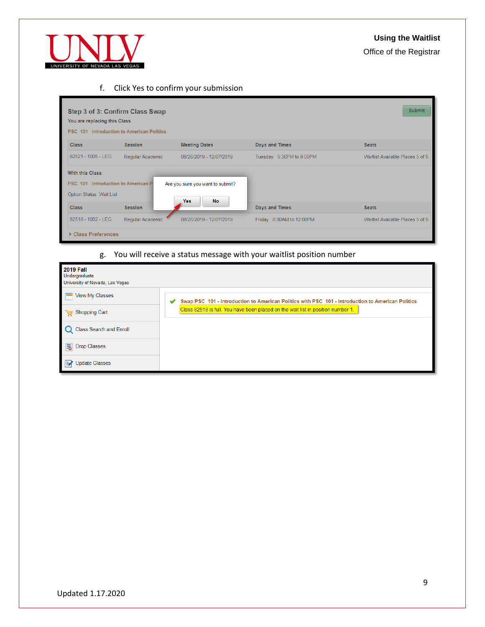# **Using the Waitlist**

Office of the Registrar



## f. Click Yes to confirm your submission

| Step 3 of 3: Confirm Class Swap<br>You are replacing this Class<br><b>PSC 101 Introduction to American Politics</b> |                  |                                                      |                          | <b>Submit</b>                    |
|---------------------------------------------------------------------------------------------------------------------|------------------|------------------------------------------------------|--------------------------|----------------------------------|
| <b>Class</b>                                                                                                        | <b>Session</b>   | <b>Meeting Dates</b>                                 | Days and Times           | <b>Seats</b>                     |
| 82521 - 1005 - LEC                                                                                                  | Regular Academic | 08/26/2019 - 12/07/2019                              | Tuesday 5:30PM to 9:00PM | Waitlist Available Places 5 of 5 |
| <b>With this Class</b><br>PSC 101 Introduction to American P<br><b>Option Status Wait List</b>                      |                  | Are you sure you want to submit?<br><b>Yes</b><br>No |                          |                                  |
| <b>Class</b>                                                                                                        | <b>Session</b>   |                                                      | Days and Times           | <b>Seats</b>                     |
| 82518 - 1002 - LEC                                                                                                  | Regular Academic | 08/26/2019 - 12/07/2019                              | Friday 8:30AM to 12:00PM | Waitlist Available Places 5 of 5 |
| Class Preferences                                                                                                   |                  |                                                      |                          |                                  |

# g. You will receive a status message with your waitlist position number

| <b>2019 Fall</b><br>Undergraduate<br>University of Nevada, Las Vegas |                                                                                                   |
|----------------------------------------------------------------------|---------------------------------------------------------------------------------------------------|
| View My Classes                                                      | Swap PSC 101 - Introduction to American Politics with PSC 101 - Introduction to American Politics |
| Shopping Cart                                                        | Class 82518 is full. You have been placed on the wait list in position number 1.                  |
| Class Search and Enroll                                              |                                                                                                   |
| <b>号</b> Drop Classes                                                |                                                                                                   |
| <b>Update Classes</b><br>$\blacksquare$                              |                                                                                                   |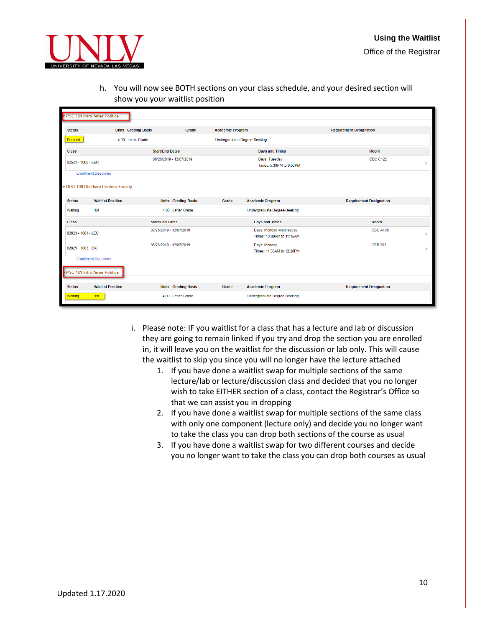

- Office of the Registrar
- h. You will now see BOTH sections on your class schedule, and your desired section will show you your waitlist position

|               | PSC 101 Intro Amer Politics         |                            |                            |                                     |                                                     |                                          |
|---------------|-------------------------------------|----------------------------|----------------------------|-------------------------------------|-----------------------------------------------------|------------------------------------------|
| <b>Status</b> |                                     | <b>Units</b> Grading Basis | Grade                      | <b>Academic Program</b>             |                                                     | <b>Requirement Designation</b>           |
| Enrolled      |                                     | 4.00 Letter Grade          |                            | <b>Undergraduate Degree-Seeking</b> |                                                     |                                          |
| <b>Class</b>  |                                     | <b>Start/End Dates</b>     |                            |                                     | <b>Days and Times</b>                               | <b>Room</b>                              |
|               | 82521 - 1005 - LEC                  |                            | 08/26/2019 - 12/07/2019    |                                     | Days: Tuesday<br>Times: 5:30PM to 9:00PM            | <b>CBC C122</b><br>$\mathbf{\mathbf{S}}$ |
|               | <b>Enrollment Deadlines</b>         |                            |                            |                                     |                                                     |                                          |
|               | - HIST 100 Hist Issu Contem Society |                            |                            |                                     |                                                     |                                          |
| <b>Status</b> | <b>Waitlist Position</b>            |                            | <b>Units</b> Grading Basis | Grade                               | <b>Academic Program</b>                             | <b>Requirement Designation</b>           |
| Waiting       | 1st                                 |                            | 4.00 Letter Grade          |                                     | Undergraduate Degree-Seeking                        |                                          |
| <b>Class</b>  |                                     | <b>Start/End Dates</b>     |                            |                                     | <b>Days and Times</b>                               | Room                                     |
|               | 82823 - 1001 - LEC                  | 08/26/2019 - 12/07/2019    |                            |                                     | Days: Monday Wednesday<br>Times: 10:00AM to 11:15AM | <b>CBC A106</b><br>$\mathcal{P}$         |
|               | 82825 - 1003 - DIS                  | 08/26/2019 - 12/07/2019    |                            |                                     | Days: Monday<br>Times: 11:30AM to 12:20PM           | <b>CFB 203</b><br>$\mathcal{E}$          |
|               | <b>Enrollment Deadlines</b>         |                            |                            |                                     |                                                     |                                          |
|               | <b>PSC 101 Intro Amer Politics</b>  |                            |                            |                                     |                                                     |                                          |
| <b>Status</b> | <b>Waitlist Position</b>            |                            | <b>Units</b> Grading Basis | Grade                               | <b>Academic Program</b>                             | <b>Requirement Designation</b>           |
| Waiting       | 1st                                 |                            | 4.00 Letter Grade          |                                     | Undergraduate Degree-Seeking                        |                                          |

- <span id="page-9-1"></span><span id="page-9-0"></span>i. Please note: IF you waitlist for a class that has a lecture and lab or discussion they are going to remain linked if you try and drop the section you are enrolled in, it will leave you on the waitlist for the discussion or lab only. This will cause the waitlist to skip you since you will no longer have the lecture attached
	- 1. If you have done a waitlist swap for multiple sections of the same lecture/lab or lecture/discussion class and decided that you no longer wish to take EITHER section of a class, contact the Registrar's Office so that we can assist you in dropping
	- 2. If you have done a waitlist swap for multiple sections of the same class with only one component (lecture only) and decide you no longer want to take the class you can drop both sections of the course as usual
	- 3. If you have done a waitlist swap for two different courses and decide you no longer want to take the class you can drop both courses as usual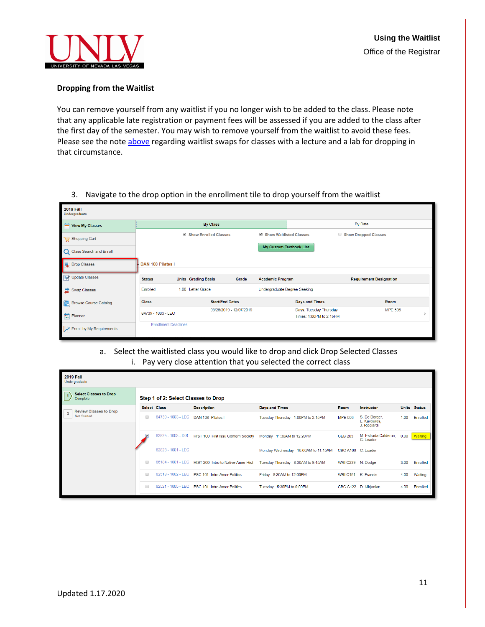

#### **Dropping from the Waitlist**

You can remove yourself from any waitlist if you no longer wish to be added to the class. Please note that any applicable late registration or payment fees will be assessed if you are added to the class after the first day of the semester. You may wish to remove yourself from the waitlist to avoid these fees. Please see the not[e above](#page-9-1) regarding waitlist swaps for classes with a lecture and a lab for dropping in that circumstance.

### 3. Navigate to the drop option in the enrollment tile to drop yourself from the waitlist

| <b>2019 Fall</b><br>Undergraduate |                             |                            |                         |       |                              |                                                   |                                |                |  |
|-----------------------------------|-----------------------------|----------------------------|-------------------------|-------|------------------------------|---------------------------------------------------|--------------------------------|----------------|--|
| View My Classes                   |                             |                            | <b>By Class</b>         |       |                              |                                                   | By Date                        |                |  |
| Shopping Cart                     |                             |                            | Show Enrolled Classes   |       | Show Waitlisted Classes      | $\Box$                                            | <b>Show Dropped Classes</b>    |                |  |
| Q Class Search and Enroll         |                             |                            |                         |       | My Custom Textbook List      |                                                   |                                |                |  |
| <b>同</b> Drop Classes             | DAN 108 Pilates I           |                            |                         |       |                              |                                                   |                                |                |  |
| Update Classes                    | <b>Status</b>               | <b>Units</b> Grading Basis |                         | Grade | <b>Academic Program</b>      |                                                   | <b>Requirement Designation</b> |                |  |
| Swap Classes                      | Enrolled                    | 1.00 Letter Grade          |                         |       | Undergraduate Degree-Seeking |                                                   |                                |                |  |
| <b>Browse Course Catalog</b>      | <b>Class</b>                |                            | <b>Start/End Dates</b>  |       |                              | <b>Days and Times</b>                             |                                | <b>Room</b>    |  |
| $P$ lanner                        | 84739 - 1003 - LEC          |                            | 08/26/2019 - 12/07/2019 |       |                              | Days: Tuesday Thursday<br>Times: 1:00PM to 2:15PM |                                | <b>MPE 506</b> |  |
| Enroll by My Requirements         | <b>Enrollment Deadlines</b> |                            |                         |       |                              |                                                   |                                |                |  |

## a. Select the waitlisted class you would like to drop and click Drop Selected Classes i. Pay very close attention that you selected the correct class

|                | <b>2019 Fall</b><br>Undergraduate         |        |                                     |                                                |                                     |                    |                                               |      |              |
|----------------|-------------------------------------------|--------|-------------------------------------|------------------------------------------------|-------------------------------------|--------------------|-----------------------------------------------|------|--------------|
|                | <b>Select Classes to Drop</b><br>Complete |        | Step 1 of 2: Select Classes to Drop |                                                |                                     |                    |                                               |      |              |
|                | <b>Review Classes to Drop</b>             |        | Select Class                        | <b>Description</b>                             | Days and Times                      | Room               | Instructor                                    |      | Units Status |
| $\overline{2}$ | <b>Not Started</b>                        |        | 84739 - 1003 - LEC                  | DAN 108 Pilates I                              | Tuesday Thursday 1:00PM to 2:15PM   | <b>MPE 506</b>     | S. De Borger.<br>L. Kavouras,<br>J. Ricciardi | 1.00 | Enrolled     |
|                |                                           |        | 82825 - 1003 - DIS                  | HIST 100 Hist Issu Contem Society              | Monday 11:30AM to 12:20PM           | <b>CEB 203</b>     | M. Estrada Calderon,<br>C. Loader             | 0.00 | Waiting      |
|                |                                           |        | 82823 - 1001 - LEC                  |                                                | Monday Wednesday 10:00AM to 11:15AM | CBC A106 C. Loader |                                               |      |              |
|                |                                           | ∩      | 86184 - 1001 - LEC                  | HIST 260 Intro to Native Amer Hist             | Tuesday Thursday 8:30AM to 9:45AM   | WRI C239 N. Dodge  |                                               | 3.00 | Enrolled     |
|                |                                           | $\Box$ | 82518 - 1002 - LEC                  | PSC 101 Intro Amer Politics                    | Friday 8:30AM to 12:00PM            |                    | WRI C151 K. Francis                           | 4.00 | Waiting      |
|                |                                           | ∩      |                                     | 82521 - 1005 - LEC PSC 101 Intro Amer Politics | Tuesday 5:30PM to 9:00PM            |                    | CBC C122 D. Mirjanian                         | 4.00 | Enrolled     |